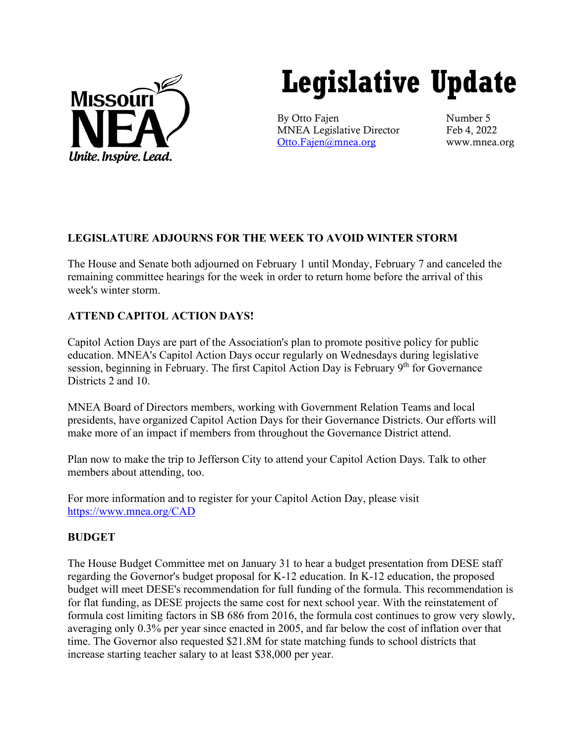

# **Legislative Update**

By Otto Fajen Number 5 MNEA Legislative Director Feb 4, 2022 [Otto.Fajen@mnea.org](mailto:Otto.Fajen@mnea.org) www.mnea.org

## **LEGISLATURE ADJOURNS FOR THE WEEK TO AVOID WINTER STORM**

The House and Senate both adjourned on February 1 until Monday, February 7 and canceled the remaining committee hearings for the week in order to return home before the arrival of this week's winter storm.

## **ATTEND CAPITOL ACTION DAYS!**

Capitol Action Days are part of the Association's plan to promote positive policy for public education. MNEA's Capitol Action Days occur regularly on Wednesdays during legislative session, beginning in February. The first Capitol Action Day is February 9<sup>th</sup> for Governance Districts 2 and 10.

MNEA Board of Directors members, working with Government Relation Teams and local presidents, have organized Capitol Action Days for their Governance Districts. Our efforts will make more of an impact if members from throughout the Governance District attend.

Plan now to make the trip to Jefferson City to attend your Capitol Action Days. Talk to other members about attending, too.

For more information and to register for your Capitol Action Day, please visit [https://www.mnea.org/CAD](https://linkprotect.cudasvc.com/url?a=https%3a%2f%2fwww.mnea.org%2fCAD&c=E,1,MYSrUCnPcnue3Dmr5ufyx1-I-sTF4xfjLXF8uA_W3SXX7ZbNLEMsuZu-ZChnKveZRIqYGjJ3Ndmq_elYAXmW3anb2LJrWd_RJLXs2zy8mEaSx0v6L85ucKOkwRs,&typo=1&ancr_add=1)

## **BUDGET**

The House Budget Committee met on January 31 to hear a budget presentation from DESE staff regarding the Governor's budget proposal for K-12 education. In K-12 education, the proposed budget will meet DESE's recommendation for full funding of the formula. This recommendation is for flat funding, as DESE projects the same cost for next school year. With the reinstatement of formula cost limiting factors in SB 686 from 2016, the formula cost continues to grow very slowly, averaging only 0.3% per year since enacted in 2005, and far below the cost of inflation over that time. The Governor also requested \$21.8M for state matching funds to school districts that increase starting teacher salary to at least \$38,000 per year.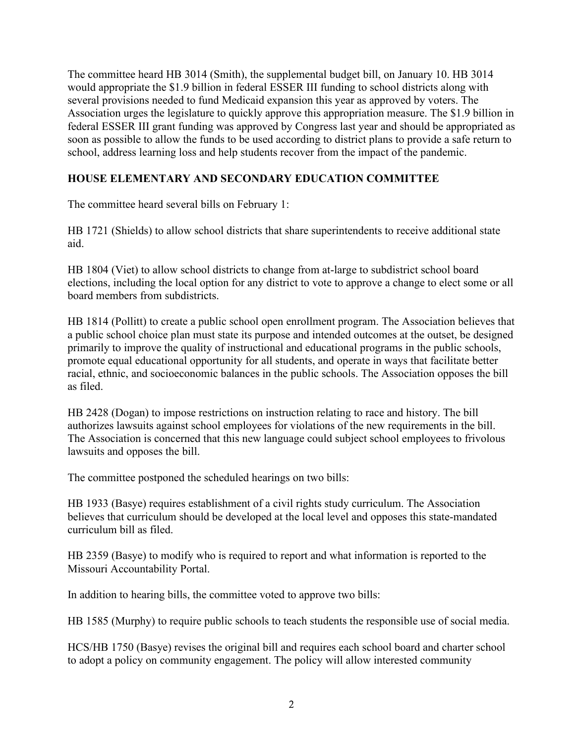The committee heard HB 3014 (Smith), the supplemental budget bill, on January 10. HB 3014 would appropriate the \$1.9 billion in federal ESSER III funding to school districts along with several provisions needed to fund Medicaid expansion this year as approved by voters. The Association urges the legislature to quickly approve this appropriation measure. The \$1.9 billion in federal ESSER III grant funding was approved by Congress last year and should be appropriated as soon as possible to allow the funds to be used according to district plans to provide a safe return to school, address learning loss and help students recover from the impact of the pandemic.

## **HOUSE ELEMENTARY AND SECONDARY EDUCATION COMMITTEE**

The committee heard several bills on February 1:

HB 1721 (Shields) to allow school districts that share superintendents to receive additional state aid.

HB 1804 (Viet) to allow school districts to change from at-large to subdistrict school board elections, including the local option for any district to vote to approve a change to elect some or all board members from subdistricts.

HB 1814 (Pollitt) to create a public school open enrollment program. The Association believes that a public school choice plan must state its purpose and intended outcomes at the outset, be designed primarily to improve the quality of instructional and educational programs in the public schools, promote equal educational opportunity for all students, and operate in ways that facilitate better racial, ethnic, and socioeconomic balances in the public schools. The Association opposes the bill as filed.

HB 2428 (Dogan) to impose restrictions on instruction relating to race and history. The bill authorizes lawsuits against school employees for violations of the new requirements in the bill. The Association is concerned that this new language could subject school employees to frivolous lawsuits and opposes the bill.

The committee postponed the scheduled hearings on two bills:

HB 1933 (Basye) requires establishment of a civil rights study curriculum. The Association believes that curriculum should be developed at the local level and opposes this state-mandated curriculum bill as filed.

HB 2359 (Basye) to modify who is required to report and what information is reported to the Missouri Accountability Portal.

In addition to hearing bills, the committee voted to approve two bills:

HB 1585 (Murphy) to require public schools to teach students the responsible use of social media.

HCS/HB 1750 (Basye) revises the original bill and requires each school board and charter school to adopt a policy on community engagement. The policy will allow interested community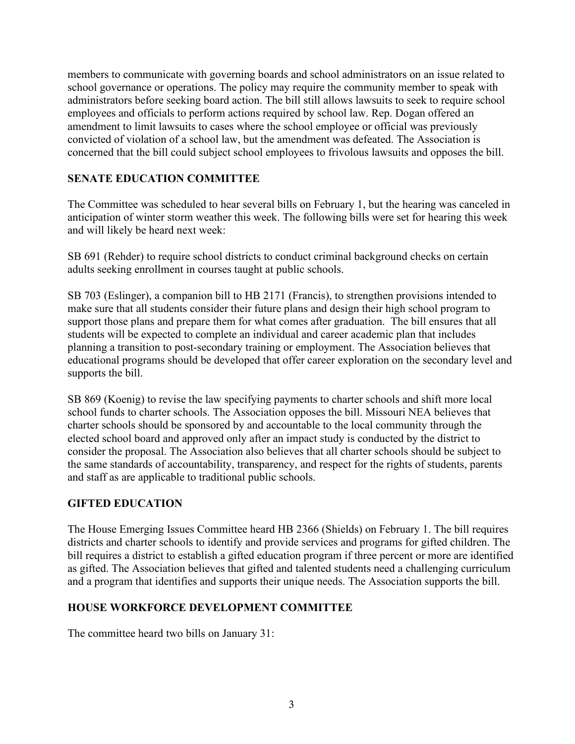members to communicate with governing boards and school administrators on an issue related to school governance or operations. The policy may require the community member to speak with administrators before seeking board action. The bill still allows lawsuits to seek to require school employees and officials to perform actions required by school law. Rep. Dogan offered an amendment to limit lawsuits to cases where the school employee or official was previously convicted of violation of a school law, but the amendment was defeated. The Association is concerned that the bill could subject school employees to frivolous lawsuits and opposes the bill.

## **SENATE EDUCATION COMMITTEE**

The Committee was scheduled to hear several bills on February 1, but the hearing was canceled in anticipation of winter storm weather this week. The following bills were set for hearing this week and will likely be heard next week:

SB 691 (Rehder) to require school districts to conduct criminal background checks on certain adults seeking enrollment in courses taught at public schools.

SB 703 (Eslinger), a companion bill to HB 2171 (Francis), to strengthen provisions intended to make sure that all students consider their future plans and design their high school program to support those plans and prepare them for what comes after graduation. The bill ensures that all students will be expected to complete an individual and career academic plan that includes planning a transition to post-secondary training or employment. The Association believes that educational programs should be developed that offer career exploration on the secondary level and supports the bill.

SB 869 (Koenig) to revise the law specifying payments to charter schools and shift more local school funds to charter schools. The Association opposes the bill. Missouri NEA believes that charter schools should be sponsored by and accountable to the local community through the elected school board and approved only after an impact study is conducted by the district to consider the proposal. The Association also believes that all charter schools should be subject to the same standards of accountability, transparency, and respect for the rights of students, parents and staff as are applicable to traditional public schools.

#### **GIFTED EDUCATION**

The House Emerging Issues Committee heard HB 2366 (Shields) on February 1. The bill requires districts and charter schools to identify and provide services and programs for gifted children. The bill requires a district to establish a gifted education program if three percent or more are identified as gifted. The Association believes that gifted and talented students need a challenging curriculum and a program that identifies and supports their unique needs. The Association supports the bill.

#### **HOUSE WORKFORCE DEVELOPMENT COMMITTEE**

The committee heard two bills on January 31: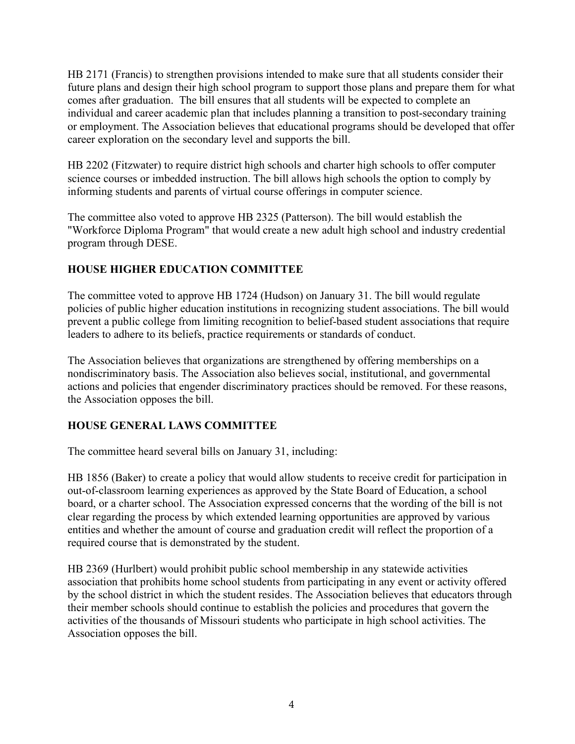HB 2171 (Francis) to strengthen provisions intended to make sure that all students consider their future plans and design their high school program to support those plans and prepare them for what comes after graduation. The bill ensures that all students will be expected to complete an individual and career academic plan that includes planning a transition to post-secondary training or employment. The Association believes that educational programs should be developed that offer career exploration on the secondary level and supports the bill.

HB 2202 (Fitzwater) to require district high schools and charter high schools to offer computer science courses or imbedded instruction. The bill allows high schools the option to comply by informing students and parents of virtual course offerings in computer science.

The committee also voted to approve HB 2325 (Patterson). The bill would establish the "Workforce Diploma Program" that would create a new adult high school and industry credential program through DESE.

### **HOUSE HIGHER EDUCATION COMMITTEE**

The committee voted to approve HB 1724 (Hudson) on January 31. The bill would regulate policies of public higher education institutions in recognizing student associations. The bill would prevent a public college from limiting recognition to belief-based student associations that require leaders to adhere to its beliefs, practice requirements or standards of conduct.

The Association believes that organizations are strengthened by offering memberships on a nondiscriminatory basis. The Association also believes social, institutional, and governmental actions and policies that engender discriminatory practices should be removed. For these reasons, the Association opposes the bill.

#### **HOUSE GENERAL LAWS COMMITTEE**

The committee heard several bills on January 31, including:

HB 1856 (Baker) to create a policy that would allow students to receive credit for participation in out-of-classroom learning experiences as approved by the State Board of Education, a school board, or a charter school. The Association expressed concerns that the wording of the bill is not clear regarding the process by which extended learning opportunities are approved by various entities and whether the amount of course and graduation credit will reflect the proportion of a required course that is demonstrated by the student.

HB 2369 (Hurlbert) would prohibit public school membership in any statewide activities association that prohibits home school students from participating in any event or activity offered by the school district in which the student resides. The Association believes that educators through their member schools should continue to establish the policies and procedures that govern the activities of the thousands of Missouri students who participate in high school activities. The Association opposes the bill.